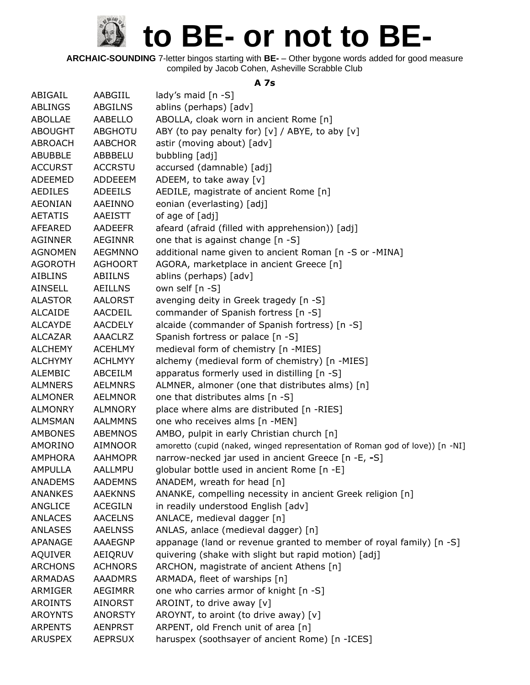**ARCHAIC-SOUNDING** 7-letter bingos starting with **BE-** – Other bygone words added for good measure compiled by Jacob Cohen, Asheville Scrabble Club

#### **A 7s**

| ABIGAIL        | AABGIIL        | lady's maid [n -S]                                                           |
|----------------|----------------|------------------------------------------------------------------------------|
| <b>ABLINGS</b> | <b>ABGILNS</b> | ablins (perhaps) [adv]                                                       |
| <b>ABOLLAE</b> | AABELLO        | ABOLLA, cloak worn in ancient Rome [n]                                       |
| <b>ABOUGHT</b> | <b>ABGHOTU</b> | ABY (to pay penalty for) [v] / ABYE, to aby [v]                              |
| ABROACH        | <b>AABCHOR</b> | astir (moving about) [adv]                                                   |
| <b>ABUBBLE</b> | ABBBELU        | bubbling [adj]                                                               |
| <b>ACCURST</b> | <b>ACCRSTU</b> | accursed (damnable) [adj]                                                    |
| ADEEMED        | ADDEEEM        | ADEEM, to take away [v]                                                      |
| <b>AEDILES</b> | <b>ADEEILS</b> | AEDILE, magistrate of ancient Rome [n]                                       |
| <b>AEONIAN</b> | AAEINNO        | eonian (everlasting) [adj]                                                   |
| <b>AETATIS</b> | <b>AAEISTT</b> | of age of [adj]                                                              |
| AFEARED        | <b>AADEEFR</b> | afeard (afraid (filled with apprehension)) [adj]                             |
| <b>AGINNER</b> | <b>AEGINNR</b> | one that is against change [n -S]                                            |
| <b>AGNOMEN</b> | <b>AEGMNNO</b> | additional name given to ancient Roman [n -S or -MINA]                       |
| <b>AGOROTH</b> | <b>AGHOORT</b> | AGORA, marketplace in ancient Greece [n]                                     |
| <b>AIBLINS</b> | <b>ABIILNS</b> | ablins (perhaps) [adv]                                                       |
| <b>AINSELL</b> | <b>AEILLNS</b> | own self [n -S]                                                              |
| <b>ALASTOR</b> | <b>AALORST</b> | avenging deity in Greek tragedy [n -S]                                       |
| <b>ALCAIDE</b> | AACDEIL        | commander of Spanish fortress [n -S]                                         |
| <b>ALCAYDE</b> | <b>AACDELY</b> | alcaide (commander of Spanish fortress) [n -S]                               |
| <b>ALCAZAR</b> | <b>AAACLRZ</b> | Spanish fortress or palace [n -S]                                            |
| <b>ALCHEMY</b> | <b>ACEHLMY</b> | medieval form of chemistry [n -MIES]                                         |
| <b>ALCHYMY</b> | <b>ACHLMYY</b> | alchemy (medieval form of chemistry) [n -MIES]                               |
| <b>ALEMBIC</b> | ABCEILM        | apparatus formerly used in distilling [n -S]                                 |
| <b>ALMNERS</b> | <b>AELMNRS</b> | ALMNER, almoner (one that distributes alms) [n]                              |
| <b>ALMONER</b> | <b>AELMNOR</b> | one that distributes alms [n -S]                                             |
| <b>ALMONRY</b> | <b>ALMNORY</b> | place where alms are distributed [n -RIES]                                   |
| <b>ALMSMAN</b> | <b>AALMMNS</b> | one who receives alms [n -MEN]                                               |
| <b>AMBONES</b> | <b>ABEMNOS</b> | AMBO, pulpit in early Christian church [n]                                   |
| AMORINO        | <b>AIMNOOR</b> | amoretto (cupid (naked, winged representation of Roman god of love)) [n -NI] |
| <b>AMPHORA</b> | <b>AAHMOPR</b> | narrow-necked jar used in ancient Greece [n -E, -S]                          |
| <b>AMPULLA</b> | AALLMPU        | globular bottle used in ancient Rome [n -E]                                  |
| <b>ANADEMS</b> | <b>AADEMNS</b> | ANADEM, wreath for head [n]                                                  |
| <b>ANANKES</b> | <b>AAEKNNS</b> | ANANKE, compelling necessity in ancient Greek religion [n]                   |
| ANGLICE        | <b>ACEGILN</b> | in readily understood English [adv]                                          |
| <b>ANLACES</b> | <b>AACELNS</b> | ANLACE, medieval dagger [n]                                                  |
| <b>ANLASES</b> | <b>AAELNSS</b> | ANLAS, anlace (medieval dagger) [n]                                          |
| APANAGE        | <b>AAAEGNP</b> | appanage (land or revenue granted to member of royal family) [n -S]          |
| <b>AQUIVER</b> | AEIQRUV        | quivering (shake with slight but rapid motion) [adj]                         |
| <b>ARCHONS</b> | <b>ACHNORS</b> | ARCHON, magistrate of ancient Athens [n]                                     |
| <b>ARMADAS</b> | <b>AAADMRS</b> | ARMADA, fleet of warships [n]                                                |
| ARMIGER        | AEGIMRR        | one who carries armor of knight [n -S]                                       |
| <b>AROINTS</b> | <b>AINORST</b> | AROINT, to drive away [v]                                                    |
| <b>AROYNTS</b> | <b>ANORSTY</b> | AROYNT, to aroint (to drive away) [v]                                        |
| <b>ARPENTS</b> | <b>AENPRST</b> | ARPENT, old French unit of area [n]                                          |
| <b>ARUSPEX</b> | <b>AEPRSUX</b> | haruspex (soothsayer of ancient Rome) [n -ICES]                              |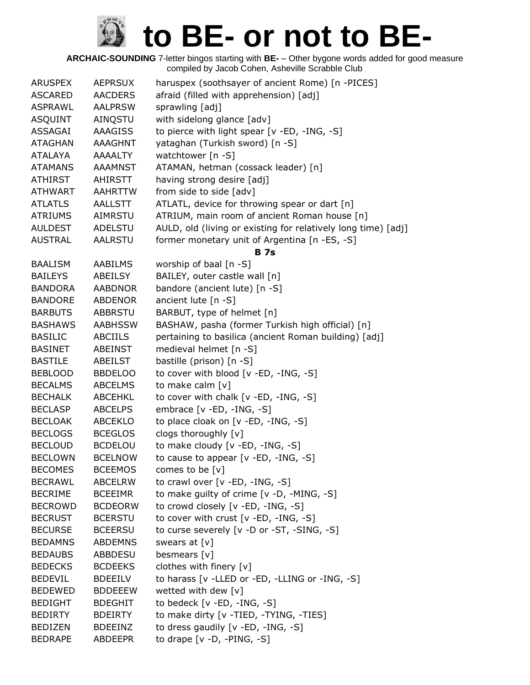| <b>ARUSPEX</b> | <b>AEPRSUX</b> | haruspex (soothsayer of ancient Rome) [n -PICES]              |
|----------------|----------------|---------------------------------------------------------------|
| <b>ASCARED</b> | <b>AACDERS</b> | afraid (filled with apprehension) [adj]                       |
| <b>ASPRAWL</b> | <b>AALPRSW</b> | sprawling [adj]                                               |
| <b>ASQUINT</b> | AINQSTU        | with sidelong glance [adv]                                    |
| ASSAGAI        | <b>AAAGISS</b> | to pierce with light spear [v -ED, -ING, -S]                  |
| <b>ATAGHAN</b> | AAAGHNT        | yataghan (Turkish sword) [n -S]                               |
| ATALAYA        | <b>AAAALTY</b> | watchtower [n -S]                                             |
| <b>ATAMANS</b> | <b>AAAMNST</b> | ATAMAN, hetman (cossack leader) [n]                           |
| <b>ATHIRST</b> | <b>AHIRSTT</b> | having strong desire [adj]                                    |
| <b>ATHWART</b> | <b>AAHRTTW</b> | from side to side [adv]                                       |
| <b>ATLATLS</b> | AALLSTT        | ATLATL, device for throwing spear or dart [n]                 |
| <b>ATRIUMS</b> | <b>AIMRSTU</b> | ATRIUM, main room of ancient Roman house [n]                  |
| <b>AULDEST</b> | ADELSTU        | AULD, old (living or existing for relatively long time) [adj] |
| <b>AUSTRAL</b> | <b>AALRSTU</b> | former monetary unit of Argentina [n -ES, -S]                 |
|                |                | <b>B</b> 7s                                                   |
| <b>BAALISM</b> | <b>AABILMS</b> | worship of baal [n -S]                                        |
| <b>BAILEYS</b> | ABEILSY        | BAILEY, outer castle wall [n]                                 |
| <b>BANDORA</b> | <b>AABDNOR</b> | bandore (ancient lute) [n -S]                                 |
| <b>BANDORE</b> | <b>ABDENOR</b> | ancient lute [n -S]                                           |
| <b>BARBUTS</b> | <b>ABBRSTU</b> | BARBUT, type of helmet [n]                                    |
| <b>BASHAWS</b> | <b>AABHSSW</b> | BASHAW, pasha (former Turkish high official) [n]              |
| <b>BASILIC</b> | <b>ABCIILS</b> | pertaining to basilica (ancient Roman building) [adj]         |
| <b>BASINET</b> | ABEINST        | medieval helmet [n -S]                                        |
| <b>BASTILE</b> | ABEILST        | bastille (prison) [n -S]                                      |
| <b>BEBLOOD</b> | <b>BBDELOO</b> | to cover with blood [v -ED, -ING, -S]                         |
| <b>BECALMS</b> | <b>ABCELMS</b> | to make calm [v]                                              |
| <b>BECHALK</b> | ABCEHKL        | to cover with chalk [v -ED, -ING, -S]                         |
| <b>BECLASP</b> | <b>ABCELPS</b> | embrace [v -ED, -ING, -S]                                     |
| <b>BECLOAK</b> | <b>ABCEKLO</b> | to place cloak on [v -ED, -ING, -S]                           |
| <b>BECLOGS</b> | <b>BCEGLOS</b> | clogs thoroughly [v]                                          |
| <b>BECLOUD</b> | <b>BCDELOU</b> | to make cloudy [v -ED, -ING, -S]                              |
| <b>BECLOWN</b> | <b>BCELNOW</b> | to cause to appear $[v - ED, -ING, -S]$                       |
| <b>BECOMES</b> | <b>BCEEMOS</b> | comes to be $[v]$                                             |
| <b>BECRAWL</b> | <b>ABCELRW</b> | to crawl over [v -ED, -ING, -S]                               |
| <b>BECRIME</b> | <b>BCEEIMR</b> | to make guilty of crime $[v -D, -MING, -S]$                   |
| <b>BECROWD</b> | <b>BCDEORW</b> | to crowd closely [v -ED, -ING, -S]                            |
| <b>BECRUST</b> | <b>BCERSTU</b> | to cover with crust $[v - ED, -ING, -S]$                      |
| <b>BECURSE</b> | <b>BCEERSU</b> | to curse severely [v -D or -ST, -SING, -S]                    |
| <b>BEDAMNS</b> | <b>ABDEMNS</b> | swears at [v]                                                 |
| <b>BEDAUBS</b> | <b>ABBDESU</b> | besmears [v]                                                  |
| <b>BEDECKS</b> | <b>BCDEEKS</b> | clothes with finery [v]                                       |
| <b>BEDEVIL</b> | <b>BDEEILV</b> | to harass [v -LLED or -ED, -LLING or -ING, -S]                |
| <b>BEDEWED</b> | <b>BDDEEEW</b> | wetted with dew [v]                                           |
| <b>BEDIGHT</b> | <b>BDEGHIT</b> | to bedeck [v -ED, -ING, -S]                                   |
| <b>BEDIRTY</b> | <b>BDEIRTY</b> | to make dirty [v -TIED, -TYING, -TIES]                        |
| <b>BEDIZEN</b> | <b>BDEEINZ</b> | to dress gaudily [v -ED, -ING, -S]                            |
| <b>BEDRAPE</b> | <b>ABDEEPR</b> | to drape [v -D, -PING, -S]                                    |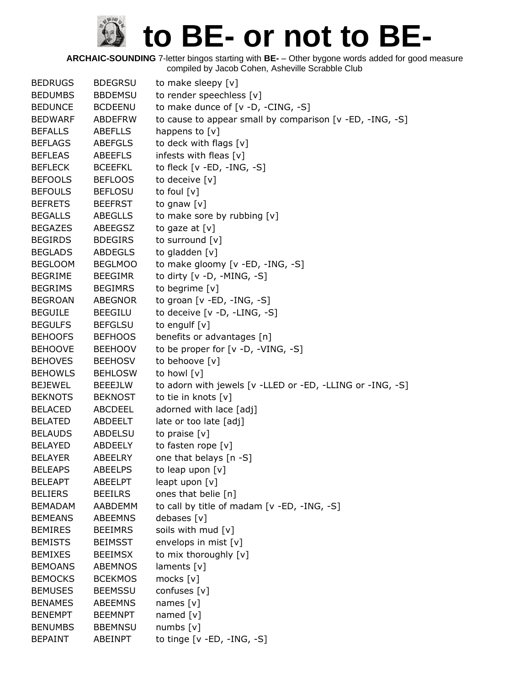| <b>BEDRUGS</b> | <b>BDEGRSU</b> | to make sleepy [v]                                        |
|----------------|----------------|-----------------------------------------------------------|
| <b>BEDUMBS</b> | <b>BBDEMSU</b> | to render speechless [v]                                  |
| <b>BEDUNCE</b> | <b>BCDEENU</b> | to make dunce of [v -D, -CING, -S]                        |
| <b>BEDWARF</b> | <b>ABDEFRW</b> | to cause to appear small by comparison [v -ED, -ING, -S]  |
| <b>BEFALLS</b> | ABEFLLS        | happens to [v]                                            |
| <b>BEFLAGS</b> | <b>ABEFGLS</b> | to deck with flags [v]                                    |
| <b>BEFLEAS</b> | <b>ABEEFLS</b> | infests with fleas [v]                                    |
| <b>BEFLECK</b> | <b>BCEEFKL</b> | to fleck $[v - ED, -ING, -S]$                             |
| <b>BEFOOLS</b> | <b>BEFLOOS</b> | to deceive [v]                                            |
| <b>BEFOULS</b> | <b>BEFLOSU</b> | to foul [v]                                               |
| <b>BEFRETS</b> | <b>BEEFRST</b> | to gnaw [v]                                               |
| <b>BEGALLS</b> | <b>ABEGLLS</b> | to make sore by rubbing [v]                               |
| <b>BEGAZES</b> | ABEEGSZ        | to gaze at $[v]$                                          |
| <b>BEGIRDS</b> | <b>BDEGIRS</b> | to surround [v]                                           |
| <b>BEGLADS</b> | <b>ABDEGLS</b> | to gladden [v]                                            |
| <b>BEGLOOM</b> | <b>BEGLMOO</b> | to make gloomy [v -ED, -ING, -S]                          |
| <b>BEGRIME</b> | <b>BEEGIMR</b> | to dirty $[v -D, -MING, -S]$                              |
| <b>BEGRIMS</b> | <b>BEGIMRS</b> | to begrime [v]                                            |
| <b>BEGROAN</b> | <b>ABEGNOR</b> | to groan $[v - ED, -ING, -S]$                             |
| <b>BEGUILE</b> | <b>BEEGILU</b> | to deceive [v -D, -LING, -S]                              |
| <b>BEGULFS</b> | <b>BEFGLSU</b> | to engulf $[v]$                                           |
| <b>BEHOOFS</b> | <b>BEFHOOS</b> | benefits or advantages [n]                                |
| <b>BEHOOVE</b> | <b>BEEHOOV</b> | to be proper for $[v -D, -VING, -S]$                      |
| <b>BEHOVES</b> | <b>BEEHOSV</b> | to behoove [v]                                            |
| <b>BEHOWLS</b> | <b>BEHLOSW</b> | to howl [v]                                               |
| <b>BEJEWEL</b> | <b>BEEEJLW</b> | to adorn with jewels [v -LLED or -ED, -LLING or -ING, -S] |
| <b>BEKNOTS</b> | <b>BEKNOST</b> | to tie in knots [v]                                       |
| <b>BELACED</b> | ABCDEEL        | adorned with lace [adj]                                   |
| <b>BELATED</b> | ABDEELT        | late or too late [adj]                                    |
| <b>BELAUDS</b> | <b>ABDELSU</b> | to praise $[v]$                                           |
| <b>BELAYED</b> | ABDEELY        | to fasten rope [v]                                        |
| <b>BELAYER</b> | ABEELRY        | one that belays [n -S]                                    |
| <b>BELEAPS</b> | <b>ABEELPS</b> | to leap upon [v]                                          |
| <b>BELEAPT</b> | <b>ABEELPT</b> | leapt upon [v]                                            |
| <b>BELIERS</b> | <b>BEEILRS</b> | ones that belie [n]                                       |
| <b>BEMADAM</b> | AABDEMM        | to call by title of madam [v -ED, -ING, -S]               |
| <b>BEMEANS</b> | <b>ABEEMNS</b> | debases [v]                                               |
| <b>BEMIRES</b> | <b>BEEIMRS</b> | soils with mud [v]                                        |
| <b>BEMISTS</b> | <b>BEIMSST</b> | envelops in mist [v]                                      |
| <b>BEMIXES</b> | <b>BEEIMSX</b> | to mix thoroughly [v]                                     |
| <b>BEMOANS</b> | <b>ABEMNOS</b> | laments [v]                                               |
| <b>BEMOCKS</b> | <b>BCEKMOS</b> | mocks [v]                                                 |
| <b>BEMUSES</b> | <b>BEEMSSU</b> | confuses [v]                                              |
| <b>BENAMES</b> | <b>ABEEMNS</b> | names $[v]$                                               |
| <b>BENEMPT</b> | <b>BEEMNPT</b> | named $[v]$                                               |
| <b>BENUMBS</b> | <b>BBEMNSU</b> | numbs $[v]$                                               |
| <b>BEPAINT</b> | ABEINPT        | to tinge $[v - ED, -ING, -S]$                             |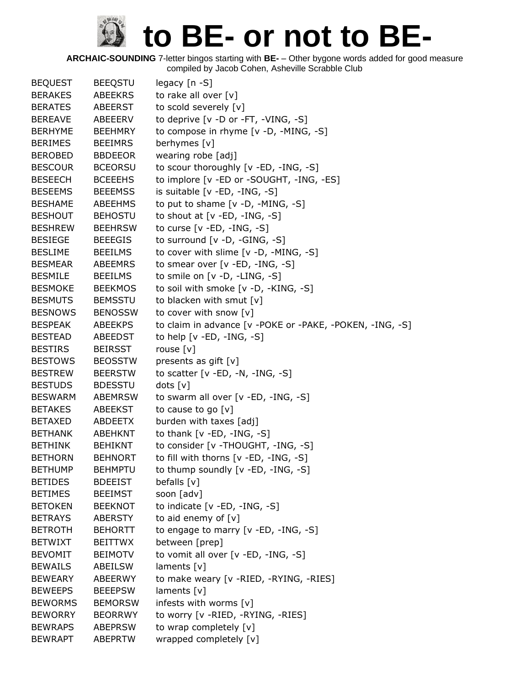| <b>BEQUEST</b> | <b>BEEQSTU</b> | legacy $[n - S]$                                         |
|----------------|----------------|----------------------------------------------------------|
| <b>BERAKES</b> | <b>ABEEKRS</b> | to rake all over [v]                                     |
| <b>BERATES</b> | ABEERST        | to scold severely [v]                                    |
| <b>BEREAVE</b> | ABEEERV        | to deprive [v -D or -FT, -VING, -S]                      |
| <b>BERHYME</b> | <b>BEEHMRY</b> | to compose in rhyme [v -D, -MING, -S]                    |
| <b>BERIMES</b> | <b>BEEIMRS</b> | berhymes [v]                                             |
| <b>BEROBED</b> | <b>BBDEEOR</b> | wearing robe [adj]                                       |
| <b>BESCOUR</b> | <b>BCEORSU</b> | to scour thoroughly [v -ED, -ING, -S]                    |
| <b>BESEECH</b> | <b>BCEEEHS</b> | to implore [v -ED or -SOUGHT, -ING, -ES]                 |
| <b>BESEEMS</b> | <b>BEEEMSS</b> | is suitable $[v - ED, -ING, -S]$                         |
| <b>BESHAME</b> | ABEEHMS        | to put to shame $[v -D, -MING, -S]$                      |
| <b>BESHOUT</b> | <b>BEHOSTU</b> | to shout at $[v - ED, -ING, -S]$                         |
| <b>BESHREW</b> | <b>BEEHRSW</b> | to curse $[v - ED, -ING, -S]$                            |
| <b>BESIEGE</b> | <b>BEEEGIS</b> | to surround $[v -D, -GING, -S]$                          |
| <b>BESLIME</b> | <b>BEEILMS</b> | to cover with slime [v -D, -MING, -S]                    |
| <b>BESMEAR</b> | <b>ABEEMRS</b> | to smear over $[v - ED, -ING, -S]$                       |
| <b>BESMILE</b> | <b>BEEILMS</b> | to smile on [v -D, -LING, -S]                            |
| <b>BESMOKE</b> | <b>BEEKMOS</b> | to soil with smoke [v -D, -KING, -S]                     |
| <b>BESMUTS</b> | <b>BEMSSTU</b> | to blacken with smut [v]                                 |
| <b>BESNOWS</b> | <b>BENOSSW</b> | to cover with snow [v]                                   |
| <b>BESPEAK</b> | <b>ABEEKPS</b> | to claim in advance [v -POKE or -PAKE, -POKEN, -ING, -S] |
| <b>BESTEAD</b> | ABEEDST        | to help $[v - ED, -ING, -S]$                             |
| <b>BESTIRS</b> | <b>BEIRSST</b> | rouse [v]                                                |
| <b>BESTOWS</b> | <b>BEOSSTW</b> | presents as gift [v]                                     |
| <b>BESTREW</b> | <b>BEERSTW</b> | to scatter $[v - ED, -N, -ING, -S]$                      |
| <b>BESTUDS</b> | <b>BDESSTU</b> | dots [v]                                                 |
| <b>BESWARM</b> | <b>ABEMRSW</b> | to swarm all over [v -ED, -ING, -S]                      |
| <b>BETAKES</b> | ABEEKST        | to cause to go [v]                                       |
| <b>BETAXED</b> | ABDEETX        | burden with taxes [adj]                                  |
| <b>BETHANK</b> | <b>ABEHKNT</b> | to thank $[v - ED, -ING, -S]$                            |
| <b>BETHINK</b> | <b>BEHIKNT</b> | to consider [v - THOUGHT, -ING, -S]                      |
| <b>BETHORN</b> | <b>BEHNORT</b> | to fill with thorns [v -ED, -ING, -S]                    |
| <b>BETHUMP</b> | <b>BEHMPTU</b> | to thump soundly [v -ED, -ING, -S]                       |
| <b>BETIDES</b> | <b>BDEEIST</b> | befalls $[v]$                                            |
| <b>BETIMES</b> | <b>BEEIMST</b> | soon [adv]                                               |
| <b>BETOKEN</b> | <b>BEEKNOT</b> | to indicate $[v - ED, -ING, -S]$                         |
| <b>BETRAYS</b> | ABERSTY        | to aid enemy of $[v]$                                    |
| <b>BETROTH</b> | <b>BEHORTT</b> | to engage to marry [v -ED, -ING, -S]                     |
| <b>BETWIXT</b> | <b>BEITTWX</b> | between [prep]                                           |
| <b>BEVOMIT</b> | <b>BEIMOTV</b> | to vomit all over [v -ED, -ING, -S]                      |
| <b>BEWAILS</b> | ABEILSW        | laments [v]                                              |
| <b>BEWEARY</b> | ABEERWY        | to make weary [v -RIED, -RYING, -RIES]                   |
| <b>BEWEEPS</b> | <b>BEEEPSW</b> | laments $[v]$                                            |
| <b>BEWORMS</b> | <b>BEMORSW</b> | infests with worms [v]                                   |
| <b>BEWORRY</b> | <b>BEORRWY</b> | to worry [v -RIED, -RYING, -RIES]                        |
| <b>BEWRAPS</b> | <b>ABEPRSW</b> | to wrap completely [v]                                   |
| <b>BEWRAPT</b> | <b>ABEPRTW</b> | wrapped completely [v]                                   |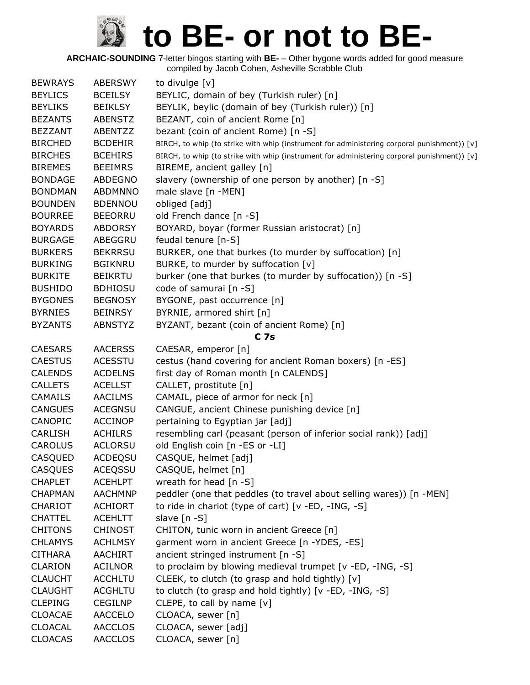| <b>BEWRAYS</b> | <b>ABERSWY</b> | to divulge [v]                                                                              |
|----------------|----------------|---------------------------------------------------------------------------------------------|
| <b>BEYLICS</b> | <b>BCEILSY</b> | BEYLIC, domain of bey (Turkish ruler) [n]                                                   |
| <b>BEYLIKS</b> | <b>BEIKLSY</b> | BEYLIK, beylic (domain of bey (Turkish ruler)) [n]                                          |
| <b>BEZANTS</b> | <b>ABENSTZ</b> | BEZANT, coin of ancient Rome [n]                                                            |
| <b>BEZZANT</b> | ABENTZZ        | bezant (coin of ancient Rome) [n -S]                                                        |
| <b>BIRCHED</b> | <b>BCDEHIR</b> | BIRCH, to whip (to strike with whip (instrument for administering corporal punishment)) [v] |
| <b>BIRCHES</b> | <b>BCEHIRS</b> | BIRCH, to whip (to strike with whip (instrument for administering corporal punishment)) [v] |
| <b>BIREMES</b> | <b>BEEIMRS</b> | BIREME, ancient galley [n]                                                                  |
| <b>BONDAGE</b> | <b>ABDEGNO</b> | slavery (ownership of one person by another) [n -S]                                         |
| <b>BONDMAN</b> | <b>ABDMNNO</b> | male slave [n -MEN]                                                                         |
| <b>BOUNDEN</b> | <b>BDENNOU</b> | obliged [adj]                                                                               |
| <b>BOURREE</b> | <b>BEEORRU</b> | old French dance [n -S]                                                                     |
| <b>BOYARDS</b> | <b>ABDORSY</b> | BOYARD, boyar (former Russian aristocrat) [n]                                               |
| <b>BURGAGE</b> | ABEGGRU        | feudal tenure [n-S]                                                                         |
| <b>BURKERS</b> | <b>BEKRRSU</b> | BURKER, one that burkes (to murder by suffocation) [n]                                      |
| <b>BURKING</b> | <b>BGIKNRU</b> | BURKE, to murder by suffocation [v]                                                         |
| <b>BURKITE</b> | <b>BEIKRTU</b> | burker (one that burkes (to murder by suffocation)) [n -S]                                  |
| <b>BUSHIDO</b> | <b>BDHIOSU</b> | code of samurai [n -S]                                                                      |
| <b>BYGONES</b> | <b>BEGNOSY</b> | BYGONE, past occurrence [n]                                                                 |
| <b>BYRNIES</b> | <b>BEINRSY</b> | BYRNIE, armored shirt [n]                                                                   |
| <b>BYZANTS</b> | <b>ABNSTYZ</b> | BYZANT, bezant (coin of ancient Rome) [n]                                                   |
|                |                | C <sub>7s</sub>                                                                             |
| <b>CAESARS</b> | <b>AACERSS</b> | CAESAR, emperor [n]                                                                         |
| <b>CAESTUS</b> | <b>ACESSTU</b> | cestus (hand covering for ancient Roman boxers) [n -ES]                                     |
| <b>CALENDS</b> | <b>ACDELNS</b> | first day of Roman month [n CALENDS]                                                        |
| <b>CALLETS</b> | <b>ACELLST</b> | CALLET, prostitute [n]                                                                      |
| <b>CAMAILS</b> | <b>AACILMS</b> | CAMAIL, piece of armor for neck [n]                                                         |
| <b>CANGUES</b> | <b>ACEGNSU</b> | CANGUE, ancient Chinese punishing device [n]                                                |
| CANOPIC        | <b>ACCINOP</b> | pertaining to Egyptian jar [adj]                                                            |
| CARLISH        | <b>ACHILRS</b> | resembling carl (peasant (person of inferior social rank)) [adj]                            |
| <b>CAROLUS</b> | <b>ACLORSU</b> | old English coin [n -ES or -LI]                                                             |
| CASQUED        | <b>ACDEQSU</b> | CASQUE, helmet [adj]                                                                        |
| <b>CASQUES</b> | <b>ACEQSSU</b> | CASQUE, helmet [n]                                                                          |
| <b>CHAPLET</b> | <b>ACEHLPT</b> | wreath for head [n -S]                                                                      |
| <b>CHAPMAN</b> | <b>AACHMNP</b> | peddler (one that peddles (to travel about selling wares)) [n -MEN]                         |
| CHARIOT        | <b>ACHIORT</b> | to ride in chariot (type of cart) [v -ED, -ING, -S]                                         |
| <b>CHATTEL</b> | <b>ACEHLTT</b> | slave [n -S]                                                                                |
| <b>CHITONS</b> | <b>CHINOST</b> | CHITON, tunic worn in ancient Greece [n]                                                    |
| <b>CHLAMYS</b> | <b>ACHLMSY</b> | garment worn in ancient Greece [n -YDES, -ES]                                               |
| <b>CITHARA</b> | AACHIRT        | ancient stringed instrument [n -S]                                                          |
| <b>CLARION</b> | <b>ACILNOR</b> | to proclaim by blowing medieval trumpet [v -ED, -ING, -S]                                   |
| <b>CLAUCHT</b> | <b>ACCHLTU</b> | CLEEK, to clutch (to grasp and hold tightly) [v]                                            |
| <b>CLAUGHT</b> | <b>ACGHLTU</b> | to clutch (to grasp and hold tightly) [v -ED, -ING, -S]                                     |
| <b>CLEPING</b> | <b>CEGILNP</b> | CLEPE, to call by name [v]                                                                  |
| <b>CLOACAE</b> | <b>AACCELO</b> | CLOACA, sewer [n]                                                                           |
| <b>CLOACAL</b> | <b>AACCLOS</b> | CLOACA, sewer [adj]                                                                         |
| <b>CLOACAS</b> | <b>AACCLOS</b> | CLOACA, sewer [n]                                                                           |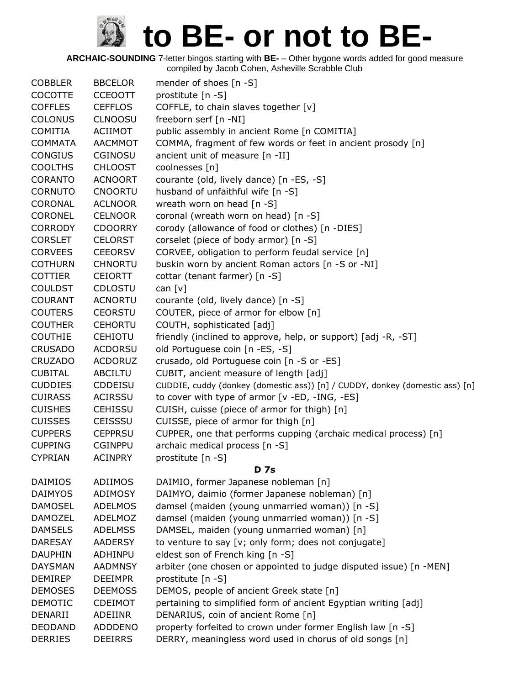| <b>COBBLER</b> | <b>BBCELOR</b> | mender of shoes [n -S]                                                       |
|----------------|----------------|------------------------------------------------------------------------------|
| COCOTTE        | <b>CCEOOTT</b> | prostitute [n -S]                                                            |
| <b>COFFLES</b> | <b>CEFFLOS</b> | COFFLE, to chain slaves together [v]                                         |
| <b>COLONUS</b> | <b>CLNOOSU</b> | freeborn serf [n -NI]                                                        |
| <b>COMITIA</b> | <b>ACIIMOT</b> | public assembly in ancient Rome [n COMITIA]                                  |
| <b>COMMATA</b> | AACMMOT        | COMMA, fragment of few words or feet in ancient prosody [n]                  |
| <b>CONGIUS</b> | <b>CGINOSU</b> | ancient unit of measure [n -II]                                              |
| <b>COOLTHS</b> | <b>CHLOOST</b> | coolnesses [n]                                                               |
| <b>CORANTO</b> | <b>ACNOORT</b> | courante (old, lively dance) [n -ES, -S]                                     |
| <b>CORNUTO</b> | <b>CNOORTU</b> | husband of unfaithful wife [n -S]                                            |
| CORONAL        | <b>ACLNOOR</b> | wreath worn on head [n -S]                                                   |
| <b>CORONEL</b> | <b>CELNOOR</b> | coronal (wreath worn on head) [n -S]                                         |
| <b>CORRODY</b> | <b>CDOORRY</b> | corody (allowance of food or clothes) [n -DIES]                              |
| <b>CORSLET</b> | <b>CELORST</b> | corselet (piece of body armor) [n -S]                                        |
| <b>CORVEES</b> | <b>CEEORSV</b> | CORVEE, obligation to perform feudal service [n]                             |
| <b>COTHURN</b> | <b>CHNORTU</b> | buskin worn by ancient Roman actors [n -S or -NI]                            |
| <b>COTTIER</b> | <b>CEIORTT</b> | cottar (tenant farmer) [n -S]                                                |
| <b>COULDST</b> | <b>CDLOSTU</b> | can $[v]$                                                                    |
| <b>COURANT</b> | <b>ACNORTU</b> | courante (old, lively dance) [n -S]                                          |
| <b>COUTERS</b> | <b>CEORSTU</b> | COUTER, piece of armor for elbow [n]                                         |
| <b>COUTHER</b> | <b>CEHORTU</b> | COUTH, sophisticated [adj]                                                   |
| <b>COUTHIE</b> | <b>CEHIOTU</b> | friendly (inclined to approve, help, or support) [adj -R, -ST]               |
| <b>CRUSADO</b> | <b>ACDORSU</b> | old Portuguese coin [n -ES, -S]                                              |
| <b>CRUZADO</b> | <b>ACDORUZ</b> | crusado, old Portuguese coin [n -S or -ES]                                   |
| <b>CUBITAL</b> | <b>ABCILTU</b> | CUBIT, ancient measure of length [adj]                                       |
| <b>CUDDIES</b> | <b>CDDEISU</b> | CUDDIE, cuddy (donkey (domestic ass)) [n] / CUDDY, donkey (domestic ass) [n] |
| <b>CUIRASS</b> | <b>ACIRSSU</b> | to cover with type of armor [v -ED, -ING, -ES]                               |
| <b>CUISHES</b> | <b>CEHISSU</b> | CUISH, cuisse (piece of armor for thigh) [n]                                 |
| <b>CUISSES</b> | <b>CEISSSU</b> | CUISSE, piece of armor for thigh [n]                                         |
| <b>CUPPERS</b> | <b>CEPPRSU</b> | CUPPER, one that performs cupping (archaic medical process) [n]              |
| <b>CUPPING</b> | <b>CGINPPU</b> | archaic medical process [n -S]                                               |
| <b>CYPRIAN</b> | <b>ACINPRY</b> | prostitute [n -S]                                                            |
|                |                | <b>D</b> 7s                                                                  |
| <b>DAIMIOS</b> | ADIIMOS        | DAIMIO, former Japanese nobleman [n]                                         |
| <b>DAIMYOS</b> | <b>ADIMOSY</b> | DAIMYO, daimio (former Japanese nobleman) [n]                                |
| <b>DAMOSEL</b> | <b>ADELMOS</b> | damsel (maiden (young unmarried woman)) [n -S]                               |
| <b>DAMOZEL</b> | <b>ADELMOZ</b> | damsel (maiden (young unmarried woman)) [n -S]                               |
| <b>DAMSELS</b> | <b>ADELMSS</b> | DAMSEL, maiden (young unmarried woman) [n]                                   |
| <b>DARESAY</b> | <b>AADERSY</b> | to venture to say [v; only form; does not conjugate]                         |
| <b>DAUPHIN</b> | ADHINPU        | eldest son of French king [n -S]                                             |
| <b>DAYSMAN</b> | <b>AADMNSY</b> | arbiter (one chosen or appointed to judge disputed issue) [n -MEN]           |
| <b>DEMIREP</b> | <b>DEEIMPR</b> | prostitute [n -S]                                                            |
| <b>DEMOSES</b> | <b>DEEMOSS</b> | DEMOS, people of ancient Greek state [n]                                     |
| <b>DEMOTIC</b> | <b>CDEIMOT</b> | pertaining to simplified form of ancient Egyptian writing [adj]              |
| DENARII        | ADEIINR        | DENARIUS, coin of ancient Rome [n]                                           |
| <b>DEODAND</b> | ADDDENO        | property forfeited to crown under former English law [n -S]                  |
| <b>DERRIES</b> | <b>DEEIRRS</b> | DERRY, meaningless word used in chorus of old songs [n]                      |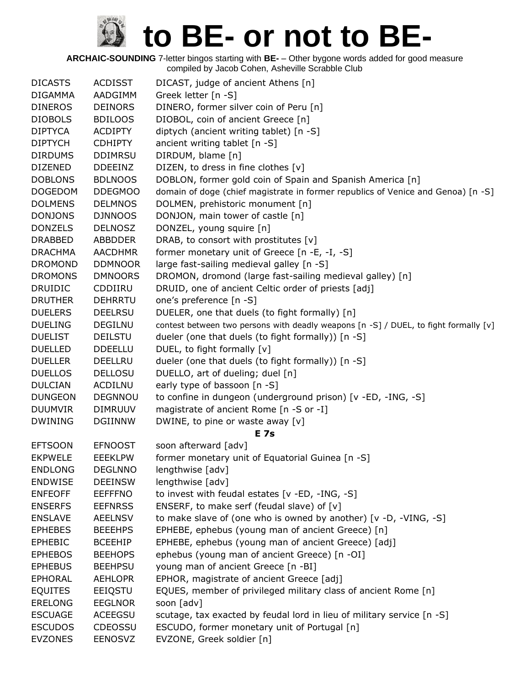| <b>DICASTS</b> | <b>ACDISST</b> | DICAST, judge of ancient Athens [n]                                                  |
|----------------|----------------|--------------------------------------------------------------------------------------|
| <b>DIGAMMA</b> | AADGIMM        | Greek letter [n -S]                                                                  |
| <b>DINEROS</b> | <b>DEINORS</b> | DINERO, former silver coin of Peru [n]                                               |
| <b>DIOBOLS</b> | <b>BDILOOS</b> | DIOBOL, coin of ancient Greece [n]                                                   |
| <b>DIPTYCA</b> | <b>ACDIPTY</b> | diptych (ancient writing tablet) [n -S]                                              |
| <b>DIPTYCH</b> | <b>CDHIPTY</b> | ancient writing tablet [n -S]                                                        |
| <b>DIRDUMS</b> | <b>DDIMRSU</b> | DIRDUM, blame [n]                                                                    |
| <b>DIZENED</b> | <b>DDEEINZ</b> | DIZEN, to dress in fine clothes [v]                                                  |
| <b>DOBLONS</b> | <b>BDLNOOS</b> | DOBLON, former gold coin of Spain and Spanish America [n]                            |
| <b>DOGEDOM</b> | <b>DDEGMOO</b> | domain of doge (chief magistrate in former republics of Venice and Genoa) [n -S]     |
| <b>DOLMENS</b> | <b>DELMNOS</b> | DOLMEN, prehistoric monument [n]                                                     |
| <b>DONJONS</b> | <b>DJNNOOS</b> | DONJON, main tower of castle [n]                                                     |
| <b>DONZELS</b> | <b>DELNOSZ</b> | DONZEL, young squire [n]                                                             |
| <b>DRABBED</b> | <b>ABBDDER</b> | DRAB, to consort with prostitutes [v]                                                |
| <b>DRACHMA</b> | <b>AACDHMR</b> | former monetary unit of Greece [n -E, -I, -S]                                        |
| <b>DROMOND</b> | <b>DDMNOOR</b> | large fast-sailing medieval galley [n -S]                                            |
| <b>DROMONS</b> | <b>DMNOORS</b> | DROMON, dromond (large fast-sailing medieval galley) [n]                             |
| <b>DRUIDIC</b> | CDDIIRU        | DRUID, one of ancient Celtic order of priests [adj]                                  |
| <b>DRUTHER</b> | <b>DEHRRTU</b> | one's preference [n -S]                                                              |
| <b>DUELERS</b> | <b>DEELRSU</b> | DUELER, one that duels (to fight formally) [n]                                       |
| <b>DUELING</b> | <b>DEGILNU</b> | contest between two persons with deadly weapons [n -S] / DUEL, to fight formally [v] |
| <b>DUELIST</b> | <b>DEILSTU</b> | dueler (one that duels (to fight formally)) [n -S]                                   |
| <b>DUELLED</b> | <b>DDEELLU</b> | DUEL, to fight formally [v]                                                          |
| <b>DUELLER</b> | <b>DEELLRU</b> | dueler (one that duels (to fight formally)) [n -S]                                   |
| <b>DUELLOS</b> | <b>DELLOSU</b> | DUELLO, art of dueling; duel [n]                                                     |
| <b>DULCIAN</b> | <b>ACDILNU</b> | early type of bassoon [n -S]                                                         |
| <b>DUNGEON</b> | <b>DEGNNOU</b> | to confine in dungeon (underground prison) [v -ED, -ING, -S]                         |
| <b>DUUMVIR</b> | <b>DIMRUUV</b> | magistrate of ancient Rome [n -S or -I]                                              |
| <b>DWINING</b> | <b>DGIINNW</b> | DWINE, to pine or waste away [v]                                                     |
|                |                | <b>E</b> 7s                                                                          |
| <b>EFTSOON</b> | <b>EFNOOST</b> | soon afterward [adv]                                                                 |
| <b>EKPWELE</b> | <b>EEEKLPW</b> | former monetary unit of Equatorial Guinea [n -S]                                     |
| <b>ENDLONG</b> | <b>DEGLNNO</b> | lengthwise [adv]                                                                     |
| <b>ENDWISE</b> | <b>DEEINSW</b> | lengthwise [adv]                                                                     |
| <b>ENFEOFF</b> | <b>EEFFFNO</b> | to invest with feudal estates [v -ED, -ING, -S]                                      |
| <b>ENSERFS</b> | <b>EEFNRSS</b> | ENSERF, to make serf (feudal slave) of [v]                                           |
| <b>ENSLAVE</b> | <b>AEELNSV</b> | to make slave of (one who is owned by another) [v -D, -VING, -S]                     |
| <b>EPHEBES</b> | <b>BEEEHPS</b> | EPHEBE, ephebus (young man of ancient Greece) [n]                                    |
| <b>EPHEBIC</b> | <b>BCEEHIP</b> | EPHEBE, ephebus (young man of ancient Greece) [adj]                                  |
| <b>EPHEBOS</b> | <b>BEEHOPS</b> | ephebus (young man of ancient Greece) [n -OI]                                        |
| <b>EPHEBUS</b> | <b>BEEHPSU</b> | young man of ancient Greece [n -BI]                                                  |
| <b>EPHORAL</b> | <b>AEHLOPR</b> | EPHOR, magistrate of ancient Greece [adj]                                            |
| <b>EQUITES</b> | EEIQSTU        | EQUES, member of privileged military class of ancient Rome [n]                       |
| <b>ERELONG</b> | <b>EEGLNOR</b> | soon [adv]                                                                           |
| <b>ESCUAGE</b> | <b>ACEEGSU</b> | scutage, tax exacted by feudal lord in lieu of military service [n -S]               |
| <b>ESCUDOS</b> | <b>CDEOSSU</b> | ESCUDO, former monetary unit of Portugal [n]                                         |
| <b>EVZONES</b> | <b>EENOSVZ</b> | EVZONE, Greek soldier [n]                                                            |
|                |                |                                                                                      |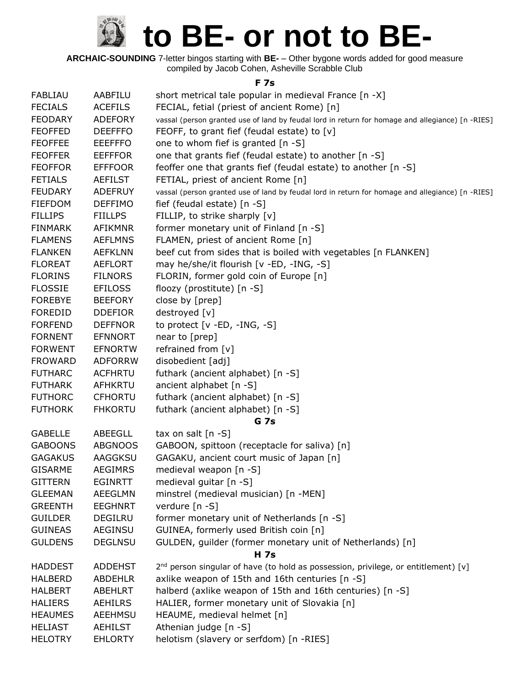**ARCHAIC-SOUNDING** 7-letter bingos starting with **BE-** – Other bygone words added for good measure compiled by Jacob Cohen, Asheville Scrabble Club

#### **F 7s**

| FABLIAU        | AABFILU        | short metrical tale popular in medieval France [n -X]                                            |
|----------------|----------------|--------------------------------------------------------------------------------------------------|
| <b>FECIALS</b> | <b>ACEFILS</b> | FECIAL, fetial (priest of ancient Rome) [n]                                                      |
| <b>FEODARY</b> | <b>ADEFORY</b> | vassal (person granted use of land by feudal lord in return for homage and allegiance) [n -RIES] |
| <b>FEOFFED</b> | <b>DEEFFFO</b> | FEOFF, to grant fief (feudal estate) to [v]                                                      |
| <b>FEOFFEE</b> | <b>EEEFFFO</b> | one to whom fief is granted [n -S]                                                               |
| <b>FEOFFER</b> | <b>EEFFFOR</b> | one that grants fief (feudal estate) to another [n -S]                                           |
| <b>FEOFFOR</b> | <b>EFFFOOR</b> | feoffer one that grants fief (feudal estate) to another [n -S]                                   |
| <b>FETIALS</b> | <b>AEFILST</b> | FETIAL, priest of ancient Rome [n]                                                               |
| <b>FEUDARY</b> | <b>ADEFRUY</b> | vassal (person granted use of land by feudal lord in return for homage and allegiance) [n -RIES] |
| <b>FIEFDOM</b> | <b>DEFFIMO</b> | fief (feudal estate) $[n -S]$                                                                    |
| <b>FILLIPS</b> | <b>FIILLPS</b> | FILLIP, to strike sharply [v]                                                                    |
| <b>FINMARK</b> | <b>AFIKMNR</b> | former monetary unit of Finland [n -S]                                                           |
| <b>FLAMENS</b> | <b>AEFLMNS</b> | FLAMEN, priest of ancient Rome [n]                                                               |
| <b>FLANKEN</b> | <b>AEFKLNN</b> | beef cut from sides that is boiled with vegetables [n FLANKEN]                                   |
| <b>FLOREAT</b> | <b>AEFLORT</b> | may he/she/it flourish [v -ED, -ING, -S]                                                         |
| <b>FLORINS</b> | <b>FILNORS</b> | FLORIN, former gold coin of Europe [n]                                                           |
| <b>FLOSSIE</b> | <b>EFILOSS</b> | floozy (prostitute) [n -S]                                                                       |
| <b>FOREBYE</b> | <b>BEEFORY</b> | close by [prep]                                                                                  |
| <b>FOREDID</b> | <b>DDEFIOR</b> | destroyed [v]                                                                                    |
| <b>FORFEND</b> | <b>DEFFNOR</b> | to protect $[v - ED, -ING, -S]$                                                                  |
| <b>FORNENT</b> | <b>EFNNORT</b> | near to [prep]                                                                                   |
| <b>FORWENT</b> | <b>EFNORTW</b> | refrained from [v]                                                                               |
| <b>FROWARD</b> | <b>ADFORRW</b> | disobedient [adj]                                                                                |
| <b>FUTHARC</b> | <b>ACFHRTU</b> | futhark (ancient alphabet) [n -S]                                                                |
| <b>FUTHARK</b> | <b>AFHKRTU</b> | ancient alphabet [n -S]                                                                          |
| <b>FUTHORC</b> | <b>CFHORTU</b> | futhark (ancient alphabet) [n -S]                                                                |
| <b>FUTHORK</b> | <b>FHKORTU</b> | futhark (ancient alphabet) [n -S]                                                                |
|                |                | <b>G</b> 7s                                                                                      |
| <b>GABELLE</b> | ABEEGLL        | tax on salt $[n -S]$                                                                             |
| <b>GABOONS</b> | <b>ABGNOOS</b> | GABOON, spittoon (receptacle for saliva) [n]                                                     |
| <b>GAGAKUS</b> | AAGGKSU        | GAGAKU, ancient court music of Japan [n]                                                         |
| <b>GISARME</b> | <b>AEGIMRS</b> | medieval weapon [n -S]                                                                           |
| <b>GITTERN</b> | <b>EGINRTT</b> | medieval guitar [n -S]                                                                           |
| <b>GLEEMAN</b> | <b>AEEGLMN</b> | minstrel (medieval musician) [n -MEN]                                                            |
| <b>GREENTH</b> | <b>EEGHNRT</b> | verdure [n -S]                                                                                   |
| <b>GUILDER</b> | <b>DEGILRU</b> | former monetary unit of Netherlands [n -S]                                                       |
| <b>GUINEAS</b> | AEGINSU        | GUINEA, formerly used British coin [n]                                                           |
| <b>GULDENS</b> | <b>DEGLNSU</b> | GULDEN, guilder (former monetary unit of Netherlands) [n]                                        |
|                |                | <b>H</b> 7s                                                                                      |
| <b>HADDEST</b> | <b>ADDEHST</b> | 2 <sup>nd</sup> person singular of have (to hold as possession, privilege, or entitlement) [v]   |
| <b>HALBERD</b> | ABDEHLR        | axlike weapon of 15th and 16th centuries [n -S]                                                  |
| <b>HALBERT</b> | <b>ABEHLRT</b> | halberd (axlike weapon of 15th and 16th centuries) [n -S]                                        |
| <b>HALIERS</b> | <b>AEHILRS</b> | HALIER, former monetary unit of Slovakia [n]                                                     |
| <b>HEAUMES</b> | AEEHMSU        | HEAUME, medieval helmet [n]                                                                      |
| <b>HELIAST</b> | <b>AEHILST</b> | Athenian judge [n -S]                                                                            |
| <b>HELOTRY</b> | <b>EHLORTY</b> | helotism (slavery or serfdom) [n -RIES]                                                          |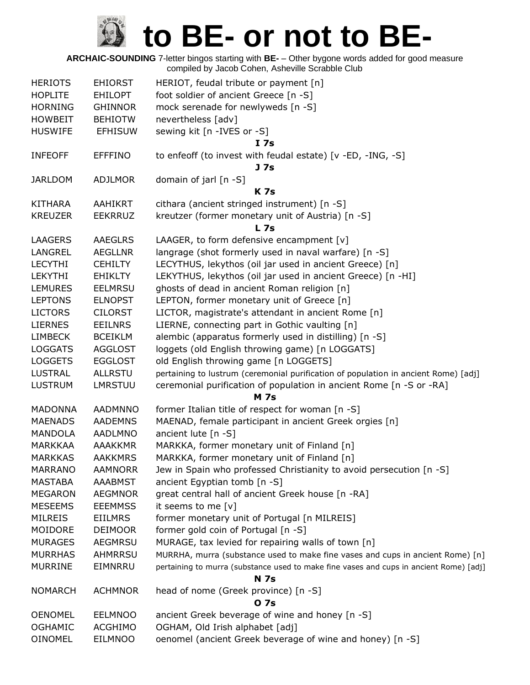| <b>HERIOTS</b> | <b>EHIORST</b> | HERIOT, feudal tribute or payment [n]                                                  |
|----------------|----------------|----------------------------------------------------------------------------------------|
| <b>HOPLITE</b> | <b>EHILOPT</b> | foot soldier of ancient Greece [n -S]                                                  |
| <b>HORNING</b> | <b>GHINNOR</b> | mock serenade for newlyweds [n -S]                                                     |
| <b>HOWBEIT</b> | <b>BEHIOTW</b> | nevertheless [adv]                                                                     |
| <b>HUSWIFE</b> | <b>EFHISUW</b> | sewing kit [n -IVES or -S]<br>I <sub>7s</sub>                                          |
| <b>INFEOFF</b> | <b>EFFFINO</b> | to enfeoff (to invest with feudal estate) [v -ED, -ING, -S]<br>J 7s                    |
| JARLDOM        | <b>ADJLMOR</b> | domain of jarl [n -S]                                                                  |
|                |                | <b>K7s</b>                                                                             |
| <b>KITHARA</b> | AAHIKRT        | cithara (ancient stringed instrument) [n -S]                                           |
| <b>KREUZER</b> | <b>EEKRRUZ</b> | kreutzer (former monetary unit of Austria) [n -S]<br><b>L</b> 7s                       |
| <b>LAAGERS</b> | <b>AAEGLRS</b> | LAAGER, to form defensive encampment [v]                                               |
| LANGREL        | <b>AEGLLNR</b> | langrage (shot formerly used in naval warfare) [n -S]                                  |
| <b>LECYTHI</b> | <b>CEHILTY</b> | LECYTHUS, lekythos (oil jar used in ancient Greece) [n]                                |
| <b>LEKYTHI</b> | <b>EHIKLTY</b> | LEKYTHUS, lekythos (oil jar used in ancient Greece) [n -HI]                            |
| <b>LEMURES</b> | <b>EELMRSU</b> | ghosts of dead in ancient Roman religion [n]                                           |
| <b>LEPTONS</b> | <b>ELNOPST</b> | LEPTON, former monetary unit of Greece [n]                                             |
| <b>LICTORS</b> | <b>CILORST</b> | LICTOR, magistrate's attendant in ancient Rome [n]                                     |
| <b>LIERNES</b> | <b>EEILNRS</b> | LIERNE, connecting part in Gothic vaulting [n]                                         |
| <b>LIMBECK</b> | <b>BCEIKLM</b> | alembic (apparatus formerly used in distilling) [n -S]                                 |
| <b>LOGGATS</b> | <b>AGGLOST</b> | loggets (old English throwing game) [n LOGGATS]                                        |
| <b>LOGGETS</b> | <b>EGGLOST</b> | old English throwing game [n LOGGETS]                                                  |
| <b>LUSTRAL</b> | <b>ALLRSTU</b> | pertaining to lustrum (ceremonial purification of population in ancient Rome) [adj]    |
| <b>LUSTRUM</b> | LMRSTUU        | ceremonial purification of population in ancient Rome [n -S or -RA]                    |
|                |                | <b>M</b> 7s                                                                            |
| <b>MADONNA</b> | <b>AADMNNO</b> | former Italian title of respect for woman [n -S]                                       |
| <b>MAENADS</b> | <b>AADEMNS</b> | MAENAD, female participant in ancient Greek orgies [n]                                 |
| <b>MANDOLA</b> | <b>AADLMNO</b> | ancient lute $[n - S]$                                                                 |
| <b>MARKKAA</b> | <b>AAAKKMR</b> | MARKKA, former monetary unit of Finland [n]                                            |
| <b>MARKKAS</b> | <b>AAKKMRS</b> | MARKKA, former monetary unit of Finland [n]                                            |
| <b>MARRANO</b> | <b>AAMNORR</b> | Jew in Spain who professed Christianity to avoid persecution [n -S]                    |
| <b>MASTABA</b> | <b>AAABMST</b> | ancient Egyptian tomb [n -S]                                                           |
| <b>MEGARON</b> | <b>AEGMNOR</b> | great central hall of ancient Greek house [n -RA]                                      |
| <b>MESEEMS</b> | <b>EEEMMSS</b> | it seems to me $[v]$                                                                   |
| <b>MILREIS</b> | <b>EIILMRS</b> | former monetary unit of Portugal [n MILREIS]                                           |
| MOIDORE        | <b>DEIMOOR</b> | former gold coin of Portugal [n -S]                                                    |
| <b>MURAGES</b> | AEGMRSU        | MURAGE, tax levied for repairing walls of town [n]                                     |
| <b>MURRHAS</b> | <b>AHMRRSU</b> | MURRHA, murra (substance used to make fine vases and cups in ancient Rome) [n]         |
| <b>MURRINE</b> | EIMNRRU        | pertaining to murra (substance used to make fine vases and cups in ancient Rome) [adj] |
|                |                | <b>N 7s</b>                                                                            |
| <b>NOMARCH</b> | <b>ACHMNOR</b> | head of nome (Greek province) [n -S]                                                   |
|                |                | 0 7s                                                                                   |
| <b>OENOMEL</b> | <b>EELMNOO</b> | ancient Greek beverage of wine and honey [n -S]                                        |
| <b>OGHAMIC</b> | <b>ACGHIMO</b> | OGHAM, Old Irish alphabet [adj]                                                        |
| <b>OINOMEL</b> | EILMNOO        | oenomel (ancient Greek beverage of wine and honey) [n -S]                              |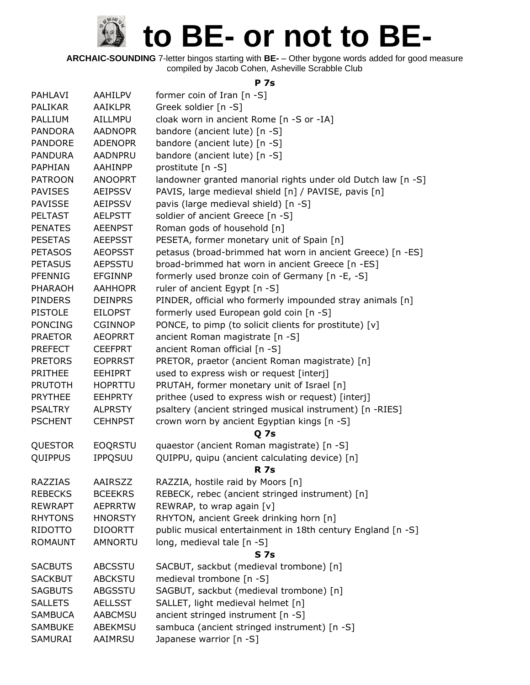**ARCHAIC-SOUNDING** 7-letter bingos starting with **BE-** – Other bygone words added for good measure compiled by Jacob Cohen, Asheville Scrabble Club

#### **P 7s**

| PAHLAVI        | <b>AAHILPV</b> | former coin of Iran $[n - S]$                                |
|----------------|----------------|--------------------------------------------------------------|
| <b>PALIKAR</b> | <b>AAIKLPR</b> | Greek soldier [n -S]                                         |
| PALLIUM        | AILLMPU        | cloak worn in ancient Rome [n -S or -IA]                     |
| <b>PANDORA</b> | <b>AADNOPR</b> | bandore (ancient lute) [n -S]                                |
| <b>PANDORE</b> | <b>ADENOPR</b> | bandore (ancient lute) [n -S]                                |
| <b>PANDURA</b> | <b>AADNPRU</b> | bandore (ancient lute) [n -S]                                |
| <b>PAPHIAN</b> | AAHINPP        | prostitute [n -S]                                            |
| <b>PATROON</b> | <b>ANOOPRT</b> | landowner granted manorial rights under old Dutch law [n -S] |
| <b>PAVISES</b> | <b>AEIPSSV</b> | PAVIS, large medieval shield [n] / PAVISE, pavis [n]         |
| <b>PAVISSE</b> | <b>AEIPSSV</b> | pavis (large medieval shield) [n -S]                         |
| <b>PELTAST</b> | <b>AELPSTT</b> | soldier of ancient Greece [n -S]                             |
| <b>PENATES</b> | <b>AEENPST</b> | Roman gods of household [n]                                  |
| <b>PESETAS</b> | <b>AEEPSST</b> | PESETA, former monetary unit of Spain [n]                    |
| <b>PETASOS</b> | <b>AEOPSST</b> | petasus (broad-brimmed hat worn in ancient Greece) [n -ES]   |
| <b>PETASUS</b> | <b>AEPSSTU</b> | broad-brimmed hat worn in ancient Greece [n -ES]             |
| <b>PFENNIG</b> | <b>EFGINNP</b> | formerly used bronze coin of Germany [n -E, -S]              |
| <b>PHARAOH</b> | <b>AAHHOPR</b> | ruler of ancient Egypt [n -S]                                |
| <b>PINDERS</b> | <b>DEINPRS</b> | PINDER, official who formerly impounded stray animals [n]    |
| <b>PISTOLE</b> | <b>EILOPST</b> | formerly used European gold coin [n -S]                      |
| <b>PONCING</b> | <b>CGINNOP</b> | PONCE, to pimp (to solicit clients for prostitute) [v]       |
| <b>PRAETOR</b> | <b>AEOPRRT</b> | ancient Roman magistrate [n -S]                              |
| <b>PREFECT</b> | <b>CEEFPRT</b> | ancient Roman official [n -S]                                |
| <b>PRETORS</b> | <b>EOPRRST</b> | PRETOR, praetor (ancient Roman magistrate) [n]               |
| PRITHEE        | <b>EEHIPRT</b> | used to express wish or request [interj]                     |
| <b>PRUTOTH</b> | <b>HOPRTTU</b> | PRUTAH, former monetary unit of Israel [n]                   |
| <b>PRYTHEE</b> | <b>EEHPRTY</b> | prithee (used to express wish or request) [interj]           |
| <b>PSALTRY</b> | <b>ALPRSTY</b> | psaltery (ancient stringed musical instrument) [n -RIES]     |
| <b>PSCHENT</b> | <b>CEHNPST</b> | crown worn by ancient Egyptian kings [n -S]                  |
|                |                | <b>Q</b> 7s                                                  |
| <b>QUESTOR</b> | <b>EOQRSTU</b> | quaestor (ancient Roman magistrate) [n -S]                   |
| <b>QUIPPUS</b> | <b>IPPQSUU</b> | QUIPPU, quipu (ancient calculating device) [n]               |
|                |                | <b>R</b> 7s                                                  |
| RAZZIAS        | AAIRSZZ        | RAZZIA, hostile raid by Moors [n]                            |
| <b>REBECKS</b> | <b>BCEEKRS</b> | REBECK, rebec (ancient stringed instrument) [n]              |
| <b>REWRAPT</b> | <b>AEPRRTW</b> | REWRAP, to wrap again [v]                                    |
| <b>RHYTONS</b> | <b>HNORSTY</b> | RHYTON, ancient Greek drinking horn [n]                      |
| RIDOTTO        | <b>DIOORTT</b> | public musical entertainment in 18th century England [n -S]  |
| <b>ROMAUNT</b> | <b>AMNORTU</b> | long, medieval tale [n -S]                                   |
|                |                | S <sub>7s</sub>                                              |
| <b>SACBUTS</b> | <b>ABCSSTU</b> | SACBUT, sackbut (medieval trombone) [n]                      |
| <b>SACKBUT</b> | <b>ABCKSTU</b> | medieval trombone [n -S]                                     |
| <b>SAGBUTS</b> | ABGSSTU        | SAGBUT, sackbut (medieval trombone) [n]                      |
| <b>SALLETS</b> | <b>AELLSST</b> | SALLET, light medieval helmet [n]                            |
| <b>SAMBUCA</b> | <b>AABCMSU</b> | ancient stringed instrument [n -S]                           |
| <b>SAMBUKE</b> | ABEKMSU        | sambuca (ancient stringed instrument) [n -S]                 |
| SAMURAI        | AAIMRSU        | Japanese warrior [n -S]                                      |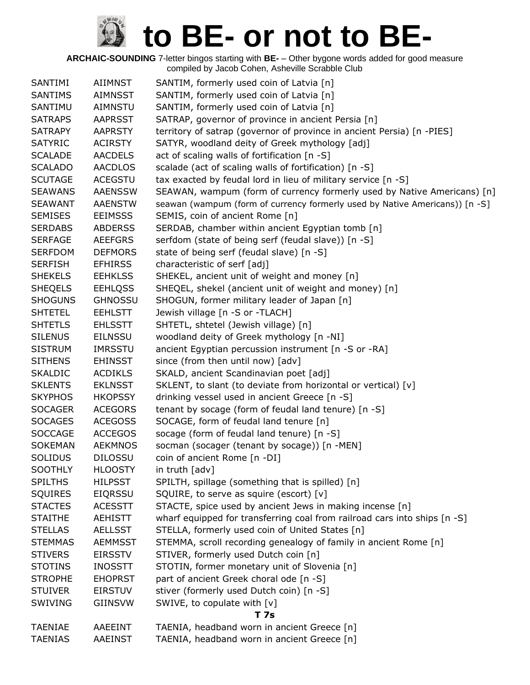| SANTIMI        | <b>AIIMNST</b> | SANTIM, formerly used coin of Latvia [n]                                    |
|----------------|----------------|-----------------------------------------------------------------------------|
| <b>SANTIMS</b> | <b>AIMNSST</b> | SANTIM, formerly used coin of Latvia [n]                                    |
| SANTIMU        | <b>AIMNSTU</b> | SANTIM, formerly used coin of Latvia [n]                                    |
| <b>SATRAPS</b> | <b>AAPRSST</b> | SATRAP, governor of province in ancient Persia [n]                          |
| <b>SATRAPY</b> | <b>AAPRSTY</b> | territory of satrap (governor of province in ancient Persia) [n -PIES]      |
| <b>SATYRIC</b> | <b>ACIRSTY</b> | SATYR, woodland deity of Greek mythology [adj]                              |
| <b>SCALADE</b> | <b>AACDELS</b> | act of scaling walls of fortification [n -S]                                |
| <b>SCALADO</b> | <b>AACDLOS</b> | scalade (act of scaling walls of fortification) [n -S]                      |
| <b>SCUTAGE</b> | <b>ACEGSTU</b> | tax exacted by feudal lord in lieu of military service [n -S]               |
| <b>SEAWANS</b> | <b>AAENSSW</b> | SEAWAN, wampum (form of currency formerly used by Native Americans) [n]     |
| <b>SEAWANT</b> | <b>AAENSTW</b> | seawan (wampum (form of currency formerly used by Native Americans)) [n -S] |
| <b>SEMISES</b> | <b>EEIMSSS</b> | SEMIS, coin of ancient Rome [n]                                             |
| <b>SERDABS</b> | <b>ABDERSS</b> | SERDAB, chamber within ancient Egyptian tomb [n]                            |
| <b>SERFAGE</b> | <b>AEEFGRS</b> | serfdom (state of being serf (feudal slave)) [n -S]                         |
| <b>SERFDOM</b> | <b>DEFMORS</b> | state of being serf (feudal slave) [n -S]                                   |
| <b>SERFISH</b> | <b>EFHIRSS</b> | characteristic of serf [adj]                                                |
| <b>SHEKELS</b> | <b>EEHKLSS</b> | SHEKEL, ancient unit of weight and money [n]                                |
| <b>SHEQELS</b> | <b>EEHLQSS</b> | SHEQEL, shekel (ancient unit of weight and money) [n]                       |
| <b>SHOGUNS</b> | <b>GHNOSSU</b> | SHOGUN, former military leader of Japan [n]                                 |
| <b>SHTETEL</b> | <b>EEHLSTT</b> | Jewish village [n -S or -TLACH]                                             |
| <b>SHTETLS</b> | <b>EHLSSTT</b> | SHTETL, shtetel (Jewish village) [n]                                        |
| <b>SILENUS</b> | <b>EILNSSU</b> | woodland deity of Greek mythology [n -NI]                                   |
| <b>SISTRUM</b> | <b>IMRSSTU</b> | ancient Egyptian percussion instrument [n -S or -RA]                        |
| <b>SITHENS</b> | <b>EHINSST</b> | since (from then until now) [adv]                                           |
| <b>SKALDIC</b> | <b>ACDIKLS</b> | SKALD, ancient Scandinavian poet [adj]                                      |
| <b>SKLENTS</b> | <b>EKLNSST</b> | SKLENT, to slant (to deviate from horizontal or vertical) [v]               |
| <b>SKYPHOS</b> | <b>HKOPSSY</b> | drinking vessel used in ancient Greece [n -S]                               |
| <b>SOCAGER</b> | <b>ACEGORS</b> | tenant by socage (form of feudal land tenure) [n -S]                        |
| <b>SOCAGES</b> | <b>ACEGOSS</b> | SOCAGE, form of feudal land tenure [n]                                      |
| <b>SOCCAGE</b> | <b>ACCEGOS</b> | socage (form of feudal land tenure) [n -S]                                  |
| <b>SOKEMAN</b> | <b>AEKMNOS</b> | socman (socager (tenant by socage)) [n -MEN]                                |
| <b>SOLIDUS</b> | <b>DILOSSU</b> | coin of ancient Rome [n -DI]                                                |
| <b>SOOTHLY</b> | <b>HLOOSTY</b> | in truth [adv]                                                              |
| <b>SPILTHS</b> | <b>HILPSST</b> | SPILTH, spillage (something that is spilled) [n]                            |
| <b>SQUIRES</b> | <b>EIQRSSU</b> | SQUIRE, to serve as squire (escort) [v]                                     |
| <b>STACTES</b> | <b>ACESSTT</b> | STACTE, spice used by ancient Jews in making incense [n]                    |
| <b>STAITHE</b> | <b>AEHISTT</b> | wharf equipped for transferring coal from railroad cars into ships [n -S]   |
| <b>STELLAS</b> | <b>AELLSST</b> | STELLA, formerly used coin of United States [n]                             |
| <b>STEMMAS</b> | <b>AEMMSST</b> | STEMMA, scroll recording genealogy of family in ancient Rome [n]            |
| <b>STIVERS</b> | <b>EIRSSTV</b> | STIVER, formerly used Dutch coin [n]                                        |
| <b>STOTINS</b> | <b>INOSSTT</b> | STOTIN, former monetary unit of Slovenia [n]                                |
| <b>STROPHE</b> | <b>EHOPRST</b> | part of ancient Greek choral ode [n -S]                                     |
| <b>STUIVER</b> | <b>EIRSTUV</b> | stiver (formerly used Dutch coin) [n -S]                                    |
| <b>SWIVING</b> | GIINSVW        | SWIVE, to copulate with [v]                                                 |
|                |                | <b>T7s</b>                                                                  |
| <b>TAENIAE</b> | AAEEINT        | TAENIA, headband worn in ancient Greece [n]                                 |
| <b>TAENIAS</b> | AAEINST        | TAENIA, headband worn in ancient Greece [n]                                 |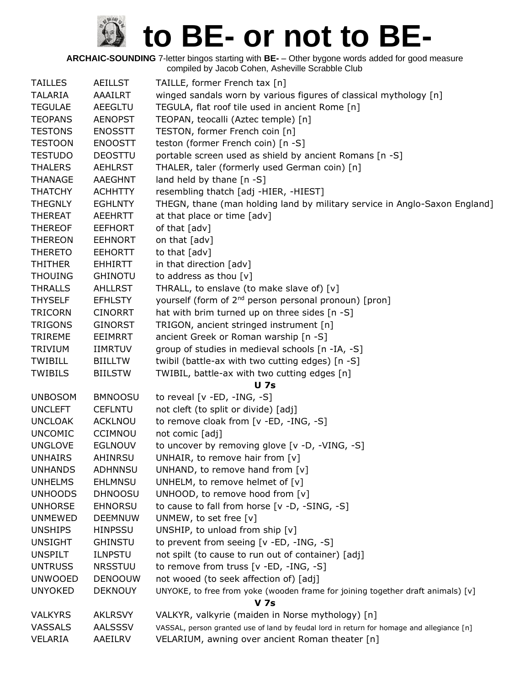| <b>TAILLES</b> | AEILLST        | TAILLE, former French tax [n]                                                             |
|----------------|----------------|-------------------------------------------------------------------------------------------|
| <b>TALARIA</b> | AAAILRT        | winged sandals worn by various figures of classical mythology [n]                         |
| <b>TEGULAE</b> | <b>AEEGLTU</b> | TEGULA, flat roof tile used in ancient Rome [n]                                           |
| <b>TEOPANS</b> | <b>AENOPST</b> | TEOPAN, teocalli (Aztec temple) [n]                                                       |
| <b>TESTONS</b> | <b>ENOSSTT</b> | TESTON, former French coin [n]                                                            |
| <b>TESTOON</b> | <b>ENOOSTT</b> | teston (former French coin) [n -S]                                                        |
| <b>TESTUDO</b> | <b>DEOSTTU</b> | portable screen used as shield by ancient Romans [n -S]                                   |
| <b>THALERS</b> | <b>AEHLRST</b> | THALER, taler (formerly used German coin) [n]                                             |
| <b>THANAGE</b> | <b>AAEGHNT</b> | land held by thane $[n - S]$                                                              |
| <b>THATCHY</b> | <b>ACHHTTY</b> | resembling thatch [adj -HIER, -HIEST]                                                     |
| <b>THEGNLY</b> | <b>EGHLNTY</b> | THEGN, thane (man holding land by military service in Anglo-Saxon England]                |
| <b>THEREAT</b> | <b>AEEHRTT</b> | at that place or time [adv]                                                               |
| <b>THEREOF</b> | <b>EEFHORT</b> | of that [adv]                                                                             |
| <b>THEREON</b> | <b>EEHNORT</b> | on that [adv]                                                                             |
| <b>THERETO</b> | <b>EEHORTT</b> | to that [adv]                                                                             |
| <b>THITHER</b> | <b>EHHIRTT</b> | in that direction [adv]                                                                   |
| <b>THOUING</b> | <b>GHINOTU</b> | to address as thou $[v]$                                                                  |
| <b>THRALLS</b> | <b>AHLLRST</b> | THRALL, to enslave (to make slave of) [v]                                                 |
| <b>THYSELF</b> | <b>EFHLSTY</b> | yourself (form of 2 <sup>nd</sup> person personal pronoun) [pron]                         |
| <b>TRICORN</b> | <b>CINORRT</b> | hat with brim turned up on three sides [n -S]                                             |
| <b>TRIGONS</b> | <b>GINORST</b> | TRIGON, ancient stringed instrument [n]                                                   |
| <b>TRIREME</b> | <b>EEIMRRT</b> | ancient Greek or Roman warship [n -S]                                                     |
| <b>TRIVIUM</b> | <b>IIMRTUV</b> | group of studies in medieval schools [n -IA, -S]                                          |
| <b>TWIBILL</b> | <b>BIILLTW</b> | twibil (battle-ax with two cutting edges) [n -S]                                          |
| <b>TWIBILS</b> | <b>BIILSTW</b> | TWIBIL, battle-ax with two cutting edges [n]                                              |
|                |                | <b>U</b> 7s                                                                               |
| <b>UNBOSOM</b> | <b>BMNOOSU</b> | to reveal $[v - ED, -ING, -S]$                                                            |
| <b>UNCLEFT</b> | <b>CEFLNTU</b> | not cleft (to split or divide) [adj]                                                      |
| <b>UNCLOAK</b> | <b>ACKLNOU</b> | to remove cloak from [v -ED, -ING, -S]                                                    |
| <b>UNCOMIC</b> | <b>CCIMNOU</b> | not comic [adj]                                                                           |
| <b>UNGLOVE</b> | <b>EGLNOUV</b> | to uncover by removing glove [v -D, -VING, -S]                                            |
| <b>UNHAIRS</b> | <b>AHINRSU</b> | UNHAIR, to remove hair from [v]                                                           |
| <b>UNHANDS</b> | <b>ADHNNSU</b> | UNHAND, to remove hand from [v]                                                           |
| <b>UNHELMS</b> | <b>EHLMNSU</b> | UNHELM, to remove helmet of $[v]$                                                         |
| <b>UNHOODS</b> | <b>DHNOOSU</b> | UNHOOD, to remove hood from [v]                                                           |
| <b>UNHORSE</b> | <b>EHNORSU</b> | to cause to fall from horse [v -D, -SING, -S]                                             |
| <b>UNMEWED</b> | <b>DEEMNUW</b> | UNMEW, to set free [v]                                                                    |
| <b>UNSHIPS</b> | <b>HINPSSU</b> | UNSHIP, to unload from ship [v]                                                           |
| <b>UNSIGHT</b> | <b>GHINSTU</b> | to prevent from seeing [v -ED, -ING, -S]                                                  |
| <b>UNSPILT</b> | <b>ILNPSTU</b> | not spilt (to cause to run out of container) [adj]                                        |
| <b>UNTRUSS</b> | <b>NRSSTUU</b> | to remove from truss [v -ED, -ING, -S]                                                    |
| <b>UNWOOED</b> | <b>DENOOUW</b> | not wooed (to seek affection of) [adj]                                                    |
| <b>UNYOKED</b> | <b>DEKNOUY</b> | UNYOKE, to free from yoke (wooden frame for joining together draft animals) [v]           |
|                |                | <b>V</b> 7s                                                                               |
| <b>VALKYRS</b> | <b>AKLRSVY</b> | VALKYR, valkyrie (maiden in Norse mythology) [n]                                          |
| <b>VASSALS</b> | <b>AALSSSV</b> | VASSAL, person granted use of land by feudal lord in return for homage and allegiance [n] |
| VELARIA        | AAEILRV        | VELARIUM, awning over ancient Roman theater [n]                                           |